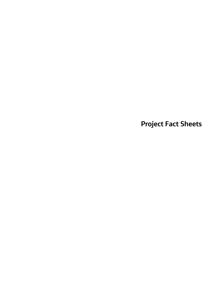**Project Fact Sheets**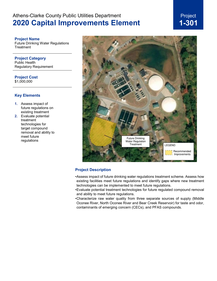## Project **1-301**

#### **Project Name**

Future Drinking Water Regulations **Treatment** 

**Project Category** Public Health Regulatory Requirement

**Project Cost** \$1,000,000

#### **Key Elements**

- **1.** Assess impact of future regulations on existing treatment
- **2.** Evaluate potential treatment technologies for target compound removal and ability to meet future regulations



#### **Project Description**

- •Assess impact of future drinking water regulations treatment scheme. Assess how existing facilities meet future regulations and identify gaps where new treatment technologies can be implemented to meet future regulations.
- •Evaluate potential treatment technologies for future regulated compound removal and ability to meet future regulations.
- •Characterize raw water quality from three separate sources of supply (Middle Oconee River, North Oconee River and Bear Creek Reservoir) for taste and odor, contaminants of emerging concern (CECs), and PFAS compounds.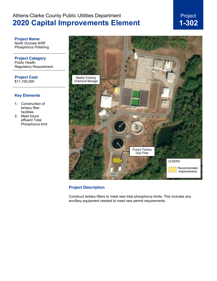

**Project Name** North Oconee WRF Phosphorus Polishing

**Project Category** Public Health Regulatory Requirement

**Project Cost** \$11,100,000

#### **Key Elements**

- **1.** Construction of tertiary filter facilities
- **2.** Meet future effluent Total Phosphorus limit



### **Project Description**

Construct tertiary filters to meet new total phosphorus limits. This includes any ancillary equipment needed to meet new permit requirements.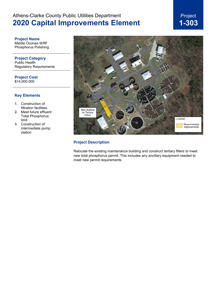# Project **1-303**

**Project Name** Middle Oconee WRF Phosphorus Polishing

**Project Category** Public Health Regulatory Requirements

**Project Cost** \$14,000,000

#### **Key Elements**

- **1.** Construction of filtration facilities.
- **2.** Meet future effluent Total Phosphorus limit
- **3.** Construction of intermediate pump station



#### **Project Description**

Relocate the existing maintenance building and construct tertiary filters to meet new total phosphorus permit. This includes any ancillary equipment needed to meet new permit requirements.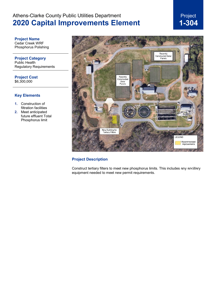Project **1-304**

#### **Project Name** Cedar Creek WRF

Phosphorus Polishing

**Project Category** Public Health Regulatory Requirements

**Project Cost** \$6,300,000

### **Key Elements**

- **1.** Construction of filtration facilities
- **2.** Meet anticipated future effluent Total Phosphorus limit



#### **Project Description**

Construct tertiary filters to meet new phosphorus limits. This includes any ancillary<br>equipment needed to meet new permit requirements. equipment needed to meet new permit requirements.